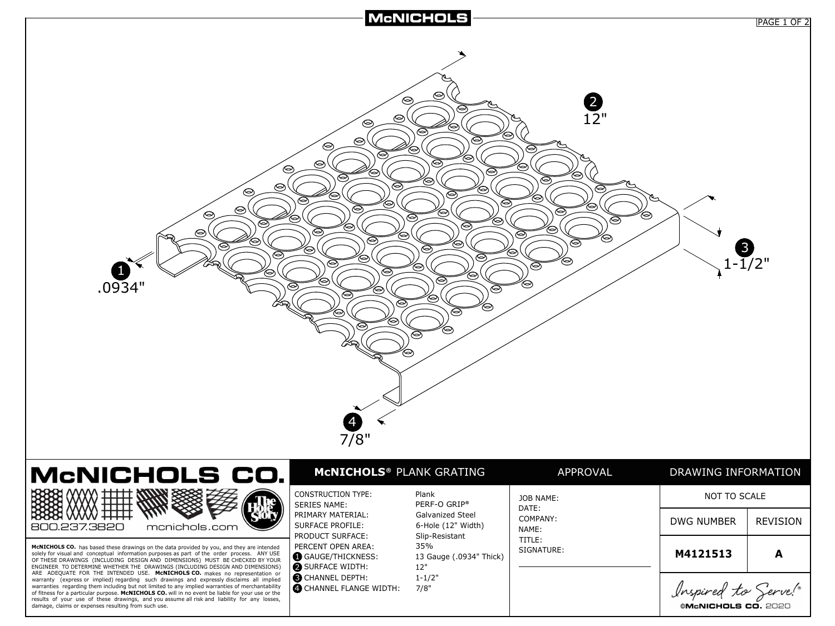

**©McNICHOLS CO. 2020**